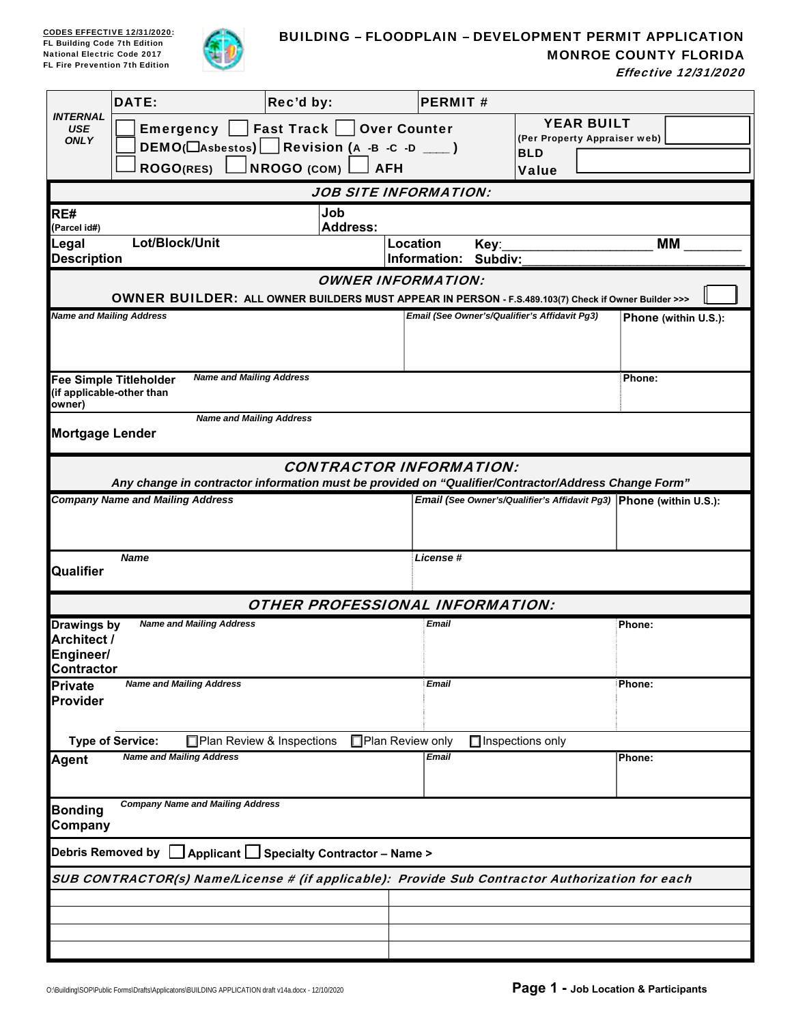

## BUILDING – FLOODPLAIN – DEVELOPMENT PERMIT APPLICATION

| MONROE COUNTY FLORIDA |
|-----------------------|
|-----------------------|

Effective 12/31/2020

|                                                                     | <b>DATE:</b>                                               | Rec'd by:                                                                                                                             | <b>PERMIT#</b>                    |                                                                                 |                      |
|---------------------------------------------------------------------|------------------------------------------------------------|---------------------------------------------------------------------------------------------------------------------------------------|-----------------------------------|---------------------------------------------------------------------------------|----------------------|
| <b>INTERNAL</b><br><b>USE</b><br><b>ONLY</b>                        | Emergency $\vert$<br><b>ROGO(RES)</b>                      | │Fast Track │ │<br>DEMO( $\Box$ Asbestos) Revision (A -B -C -D $\Box$ )<br>$NROGO$ (COM)                                              | <b>Over Counter</b><br><b>AFH</b> | <b>YEAR BUILT</b><br>(Per Property Appraiser web)<br><b>BLD</b><br><b>Value</b> |                      |
|                                                                     |                                                            |                                                                                                                                       | JOB SITE INFORMATION:             |                                                                                 |                      |
| RE#<br>(Parcel id#)                                                 |                                                            | Job<br><b>Address:</b>                                                                                                                |                                   |                                                                                 |                      |
| Legal<br><b>Description</b>                                         | Lot/Block/Unit                                             |                                                                                                                                       | Location<br>Information: Subdiv:  | Key:                                                                            | МM                   |
|                                                                     |                                                            |                                                                                                                                       | <b>OWNER INFORMATION:</b>         |                                                                                 |                      |
|                                                                     |                                                            | OWNER BUILDER: ALL OWNER BUILDERS MUST APPEAR IN PERSON - F.S.489.103(7) Check if Owner Builder >>>                                   |                                   |                                                                                 |                      |
|                                                                     | <b>Name and Mailing Address</b>                            |                                                                                                                                       |                                   | Email (See Owner's/Qualifier's Affidavit Pg3)                                   | Phone (within U.S.): |
| owner)                                                              | <b>Fee Simple Titleholder</b><br>(if applicable-other than | <b>Name and Mailing Address</b>                                                                                                       |                                   |                                                                                 | Phone:               |
| <b>Mortgage Lender</b>                                              |                                                            | <b>Name and Mailing Address</b>                                                                                                       |                                   |                                                                                 |                      |
|                                                                     |                                                            | <b>CONTRACTOR INFORMATION:</b><br>Any change in contractor information must be provided on "Qualifier/Contractor/Address Change Form" |                                   |                                                                                 |                      |
|                                                                     | <b>Company Name and Mailing Address</b>                    |                                                                                                                                       |                                   | Email (See Owner's/Qualifier's Affidavit Pg3) Phone (within U.S.):              |                      |
| Qualifier                                                           | <b>Name</b>                                                |                                                                                                                                       | License #                         |                                                                                 |                      |
|                                                                     |                                                            | <b>OTHER PROFESSIONAL INFORMATION:</b>                                                                                                |                                   |                                                                                 |                      |
| <b>Drawings by</b><br>Architect /<br>Engineer/<br><b>Contractor</b> | <b>Name and Mailing Address</b>                            |                                                                                                                                       | <b>Email</b>                      |                                                                                 | Phone:               |
| <b>Private</b><br>Provider                                          | <b>Name and Mailing Address</b>                            |                                                                                                                                       | <b>Email</b>                      |                                                                                 | Phone:               |
|                                                                     | <b>Type of Service:</b>                                    | Plan Review & Inspections                                                                                                             | □Plan Review only                 | $\Box$ Inspections only                                                         |                      |
| <b>Agent</b>                                                        | <b>Name and Mailing Address</b>                            |                                                                                                                                       | <b>Email</b>                      |                                                                                 | Phone:               |
| <b>Bonding</b><br>Company                                           | <b>Company Name and Mailing Address</b>                    |                                                                                                                                       |                                   |                                                                                 |                      |
|                                                                     | <b>Debris Removed by</b>                                   | │ Applicant $\bigsqcup$ Specialty Contractor – Name >                                                                                 |                                   |                                                                                 |                      |
|                                                                     |                                                            | SUB CONTRACTOR(s) Name/License # (if applicable): Provide Sub Contractor Authorization for each                                       |                                   |                                                                                 |                      |
|                                                                     |                                                            |                                                                                                                                       |                                   |                                                                                 |                      |
|                                                                     |                                                            |                                                                                                                                       |                                   |                                                                                 |                      |
|                                                                     |                                                            |                                                                                                                                       |                                   |                                                                                 |                      |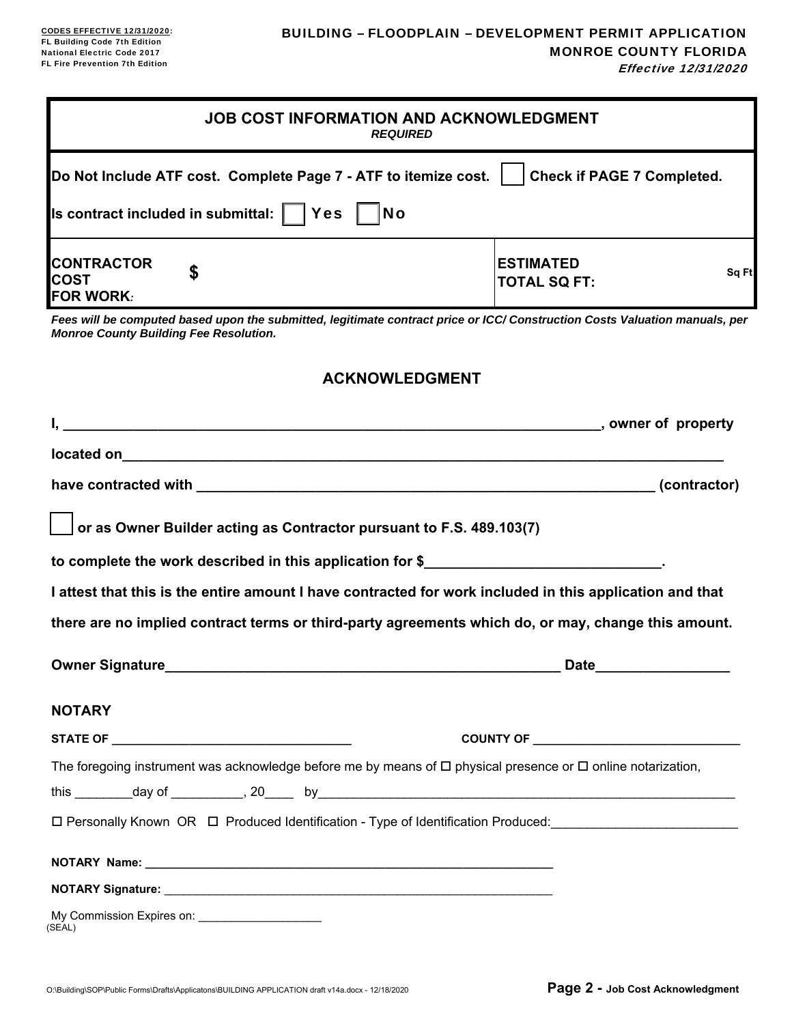Effective 12/31/2020

| <b>JOB COST INFORMATION AND ACKNOWLEDGMENT</b><br><b>REQUIRED</b>                                                                                                            |                                                  |
|------------------------------------------------------------------------------------------------------------------------------------------------------------------------------|--------------------------------------------------|
| Do Not Include ATF cost. Complete Page 7 - ATF to itemize cost.                                                                                                              | <b>Check if PAGE 7 Completed.</b>                |
| Is contract included in submittal: $\vert \ \vert$ Yes<br><b>No</b>                                                                                                          |                                                  |
| <b>CONTRACTOR</b><br>\$<br><b>COST</b><br><b>FOR WORK:</b>                                                                                                                   | <b>ESTIMATED</b><br>Sq Ft<br><b>TOTAL SQ FT:</b> |
| Fees will be computed based upon the submitted, legitimate contract price or ICC/ Construction Costs Valuation manuals, per<br><b>Monroe County Building Fee Resolution.</b> |                                                  |
| <b>ACKNOWLEDGMENT</b>                                                                                                                                                        |                                                  |
|                                                                                                                                                                              |                                                  |
|                                                                                                                                                                              |                                                  |
|                                                                                                                                                                              |                                                  |
| or as Owner Builder acting as Contractor pursuant to F.S. 489.103(7)                                                                                                         |                                                  |
| to complete the work described in this application for \$                                                                                                                    |                                                  |
| I attest that this is the entire amount I have contracted for work included in this application and that                                                                     |                                                  |
| there are no implied contract terms or third-party agreements which do, or may, change this amount.                                                                          |                                                  |
| <b>Owner Signature</b>                                                                                                                                                       | <b>Date</b>                                      |
| <b>NOTARY</b>                                                                                                                                                                |                                                  |
|                                                                                                                                                                              | COUNTY OF <b>Example 2018</b>                    |
| The foregoing instrument was acknowledge before me by means of $\Box$ physical presence or $\Box$ online notarization,                                                       |                                                  |
|                                                                                                                                                                              |                                                  |
| □ Personally Known OR □ Produced Identification - Type of Identification Produced: ____________________________                                                              |                                                  |
|                                                                                                                                                                              |                                                  |
|                                                                                                                                                                              |                                                  |
|                                                                                                                                                                              |                                                  |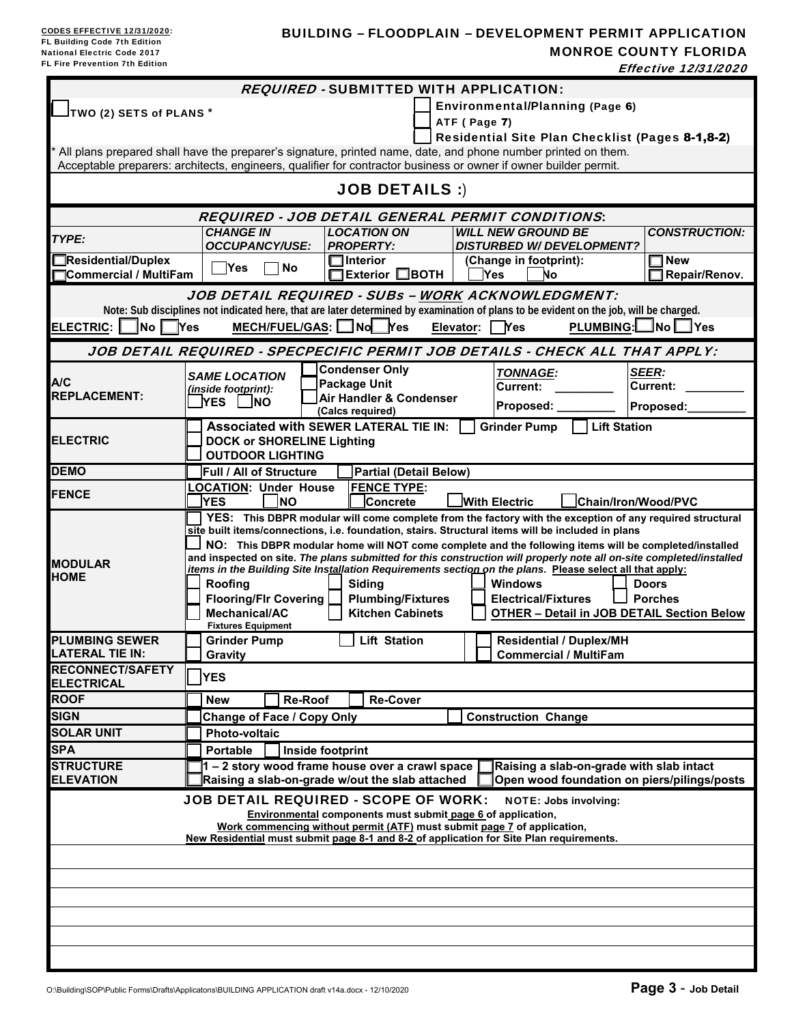### BUILDING – FLOODPLAIN – DEVELOPMENT PERMIT APPLICATION MONROE COUNTY FLORIDA Effective 12/31/2020

|                                                                                                                                                                                                                                   |                                                                                              |                                                                      | <b>REQUIRED - SUBMITTED WITH APPLICATION:</b>                                                                                                                                                                                                                                                                                                                                                                                                                                                                                                                                                                                                                  |                                |  |  |  |
|-----------------------------------------------------------------------------------------------------------------------------------------------------------------------------------------------------------------------------------|----------------------------------------------------------------------------------------------|----------------------------------------------------------------------|----------------------------------------------------------------------------------------------------------------------------------------------------------------------------------------------------------------------------------------------------------------------------------------------------------------------------------------------------------------------------------------------------------------------------------------------------------------------------------------------------------------------------------------------------------------------------------------------------------------------------------------------------------------|--------------------------------|--|--|--|
| TWO (2) SETS of PLANS *                                                                                                                                                                                                           |                                                                                              |                                                                      | Environmental/Planning (Page 6)                                                                                                                                                                                                                                                                                                                                                                                                                                                                                                                                                                                                                                |                                |  |  |  |
|                                                                                                                                                                                                                                   |                                                                                              |                                                                      | ATF (Page 7)                                                                                                                                                                                                                                                                                                                                                                                                                                                                                                                                                                                                                                                   |                                |  |  |  |
|                                                                                                                                                                                                                                   |                                                                                              |                                                                      | Residential Site Plan Checklist (Pages 8-1,8-2)                                                                                                                                                                                                                                                                                                                                                                                                                                                                                                                                                                                                                |                                |  |  |  |
| All plans prepared shall have the preparer's signature, printed name, date, and phone number printed on them.<br>Acceptable preparers: architects, engineers, qualifier for contractor business or owner if owner builder permit. |                                                                                              |                                                                      |                                                                                                                                                                                                                                                                                                                                                                                                                                                                                                                                                                                                                                                                |                                |  |  |  |
|                                                                                                                                                                                                                                   |                                                                                              | <b>JOB DETAILS :)</b>                                                |                                                                                                                                                                                                                                                                                                                                                                                                                                                                                                                                                                                                                                                                |                                |  |  |  |
|                                                                                                                                                                                                                                   |                                                                                              |                                                                      | <b>REQUIRED - JOB DETAIL GENERAL PERMIT CONDITIONS:</b>                                                                                                                                                                                                                                                                                                                                                                                                                                                                                                                                                                                                        |                                |  |  |  |
|                                                                                                                                                                                                                                   | <b>CHANGE IN</b>                                                                             | <b>LOCATION ON</b>                                                   | <b>WILL NEW GROUND BE</b>                                                                                                                                                                                                                                                                                                                                                                                                                                                                                                                                                                                                                                      | <b>CONSTRUCTION:</b>           |  |  |  |
| TYPE:                                                                                                                                                                                                                             | <b>OCCUPANCY/USE:</b>                                                                        | <b>PROPERTY:</b>                                                     | <b>DISTURBED W/ DEVELOPMENT?</b>                                                                                                                                                                                                                                                                                                                                                                                                                                                                                                                                                                                                                               |                                |  |  |  |
| Residential/Duplex                                                                                                                                                                                                                | Yes<br><b>No</b>                                                                             | $\Box$ Interior                                                      | (Change in footprint):                                                                                                                                                                                                                                                                                                                                                                                                                                                                                                                                                                                                                                         | $\Box$ New                     |  |  |  |
| Commercial / MultiFam                                                                                                                                                                                                             |                                                                                              | $\Box$ Exterior $\Box$ BOTH                                          | Yes<br>No                                                                                                                                                                                                                                                                                                                                                                                                                                                                                                                                                                                                                                                      | Repair/Renov.                  |  |  |  |
|                                                                                                                                                                                                                                   |                                                                                              |                                                                      | JOB DETAIL REQUIRED - SUBs - WORK ACKNOWLEDGMENT:                                                                                                                                                                                                                                                                                                                                                                                                                                                                                                                                                                                                              |                                |  |  |  |
|                                                                                                                                                                                                                                   |                                                                                              |                                                                      | Note: Sub disciplines not indicated here, that are later determined by examination of plans to be evident on the job, will be charged.                                                                                                                                                                                                                                                                                                                                                                                                                                                                                                                         |                                |  |  |  |
| ELECTRIC: No Pres                                                                                                                                                                                                                 | $MECH/FUEL/GAS:$ No $Yes$                                                                    |                                                                      | Elevator: <b>P</b> Yes                                                                                                                                                                                                                                                                                                                                                                                                                                                                                                                                                                                                                                         | PLUMBING: No Ves               |  |  |  |
|                                                                                                                                                                                                                                   |                                                                                              |                                                                      | JOB DETAIL REQUIRED - SPECPECIFIC PERMIT JOB DETAILS - CHECK ALL THAT APPLY:                                                                                                                                                                                                                                                                                                                                                                                                                                                                                                                                                                                   |                                |  |  |  |
|                                                                                                                                                                                                                                   | <b>SAME LOCATION</b>                                                                         | <b>Condenser Only</b>                                                | <b>TONNAGE:</b>                                                                                                                                                                                                                                                                                                                                                                                                                                                                                                                                                                                                                                                | <b>SEER:</b>                   |  |  |  |
| A/C<br><b>REPLACEMENT:</b>                                                                                                                                                                                                        | (inside footprint):                                                                          | <b>Package Unit</b><br>Air Handler & Condenser                       | <b>Current:</b>                                                                                                                                                                                                                                                                                                                                                                                                                                                                                                                                                                                                                                                | <b>Current:</b>                |  |  |  |
|                                                                                                                                                                                                                                   | <b>YES LINO</b>                                                                              | (Calcs required)                                                     | Proposed: __                                                                                                                                                                                                                                                                                                                                                                                                                                                                                                                                                                                                                                                   | Proposed:                      |  |  |  |
|                                                                                                                                                                                                                                   | <b>Associated with SEWER LATERAL TIE IN:</b>                                                 |                                                                      | <b>Lift Station</b><br><b>Grinder Pump</b>                                                                                                                                                                                                                                                                                                                                                                                                                                                                                                                                                                                                                     |                                |  |  |  |
| <b>ELECTRIC</b>                                                                                                                                                                                                                   | <b>DOCK or SHORELINE Lighting</b>                                                            |                                                                      |                                                                                                                                                                                                                                                                                                                                                                                                                                                                                                                                                                                                                                                                |                                |  |  |  |
|                                                                                                                                                                                                                                   | <b>OUTDOOR LIGHTING</b>                                                                      |                                                                      |                                                                                                                                                                                                                                                                                                                                                                                                                                                                                                                                                                                                                                                                |                                |  |  |  |
| <b>DEMO</b>                                                                                                                                                                                                                       | <b>Full / All of Structure</b>                                                               | Partial (Detail Below)                                               |                                                                                                                                                                                                                                                                                                                                                                                                                                                                                                                                                                                                                                                                |                                |  |  |  |
| <b>FENCE</b>                                                                                                                                                                                                                      | <b>LOCATION: Under House</b><br><b>YES</b><br><b>NO</b>                                      | <b>FENCE TYPE:</b><br>Concrete                                       | <b>With Electric</b>                                                                                                                                                                                                                                                                                                                                                                                                                                                                                                                                                                                                                                           | Chain/Iron/Wood/PVC            |  |  |  |
| <b>MODULAR</b><br><b>HOME</b>                                                                                                                                                                                                     | Roofing<br><b>Flooring/Flr Covering</b><br><b>Mechanical/AC</b><br><b>Fixtures Equipment</b> | <b>Sidina</b><br><b>Plumbing/Fixtures</b><br><b>Kitchen Cabinets</b> | YES: This DBPR modular will come complete from the factory with the exception of any required structural<br>site built items/connections, i.e. foundation, stairs. Structural items will be included in plans<br>NO: This DBPR modular home will NOT come complete and the following items will be completed/installed<br>and inspected on site. The plans submitted for this construction will properly note all on-site completed/installed<br>items in the Building Site Installation Requirements section on the plans. Please select all that apply:<br><b>Windows</b><br><b>Electrical/Fixtures</b><br><b>OTHER - Detail in JOB DETAIL Section Below</b> | <b>Doors</b><br><b>Porches</b> |  |  |  |
| <b>PLUMBING SEWER</b>                                                                                                                                                                                                             | <b>Grinder Pump</b>                                                                          | <b>Lift Station</b>                                                  | <b>Residential / Duplex/MH</b>                                                                                                                                                                                                                                                                                                                                                                                                                                                                                                                                                                                                                                 |                                |  |  |  |
| LATERAL TIE IN:                                                                                                                                                                                                                   | Gravity                                                                                      |                                                                      | <b>Commercial / MultiFam</b>                                                                                                                                                                                                                                                                                                                                                                                                                                                                                                                                                                                                                                   |                                |  |  |  |
| <b>RECONNECT/SAFETY</b><br><b>ELECTRICAL</b>                                                                                                                                                                                      | <b>YES</b>                                                                                   |                                                                      |                                                                                                                                                                                                                                                                                                                                                                                                                                                                                                                                                                                                                                                                |                                |  |  |  |
| <b>ROOF</b>                                                                                                                                                                                                                       | <b>Re-Roof</b><br>New                                                                        | <b>Re-Cover</b>                                                      |                                                                                                                                                                                                                                                                                                                                                                                                                                                                                                                                                                                                                                                                |                                |  |  |  |
| <b>SIGN</b>                                                                                                                                                                                                                       | Change of Face / Copy Only                                                                   |                                                                      | <b>Construction Change</b>                                                                                                                                                                                                                                                                                                                                                                                                                                                                                                                                                                                                                                     |                                |  |  |  |
| <b>SOLAR UNIT</b>                                                                                                                                                                                                                 | <b>Photo-voltaic</b>                                                                         |                                                                      |                                                                                                                                                                                                                                                                                                                                                                                                                                                                                                                                                                                                                                                                |                                |  |  |  |
| <b>SPA</b>                                                                                                                                                                                                                        | <b>Portable</b><br>Inside footprint                                                          |                                                                      |                                                                                                                                                                                                                                                                                                                                                                                                                                                                                                                                                                                                                                                                |                                |  |  |  |
| <b>STRUCTURE</b>                                                                                                                                                                                                                  | $1 - 2$ story wood frame house over a crawl space                                            |                                                                      | Raising a slab-on-grade with slab intact                                                                                                                                                                                                                                                                                                                                                                                                                                                                                                                                                                                                                       |                                |  |  |  |
| <b>ELEVATION</b>                                                                                                                                                                                                                  | Raising a slab-on-grade w/out the slab attached                                              |                                                                      | Open wood foundation on piers/pilings/posts                                                                                                                                                                                                                                                                                                                                                                                                                                                                                                                                                                                                                    |                                |  |  |  |
|                                                                                                                                                                                                                                   | <b>JOB DETAIL REQUIRED - SCOPE OF WORK:</b>                                                  | Environmental components must submit page 6 of application,          | <b>NOTE: Jobs involving:</b><br>Work commencing without permit (ATF) must submit page 7 of application,<br>New Residential must submit page 8-1 and 8-2 of application for Site Plan requirements.                                                                                                                                                                                                                                                                                                                                                                                                                                                             |                                |  |  |  |
|                                                                                                                                                                                                                                   |                                                                                              |                                                                      |                                                                                                                                                                                                                                                                                                                                                                                                                                                                                                                                                                                                                                                                |                                |  |  |  |
|                                                                                                                                                                                                                                   |                                                                                              |                                                                      |                                                                                                                                                                                                                                                                                                                                                                                                                                                                                                                                                                                                                                                                |                                |  |  |  |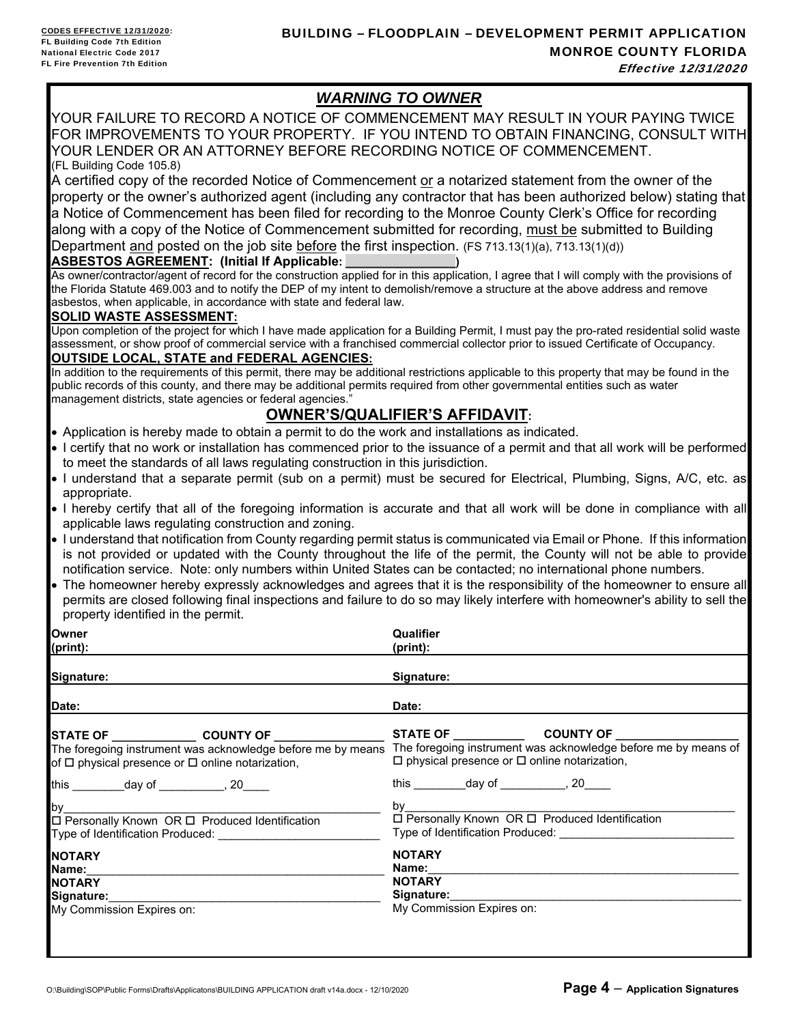# *WARNING TO OWNER*

YOUR FAILURE TO RECORD A NOTICE OF COMMENCEMENT MAY RESULT IN YOUR PAYING TWICE FOR IMPROVEMENTS TO YOUR PROPERTY. IF YOU INTEND TO OBTAIN FINANCING, CONSULT WITH YOUR LENDER OR AN ATTORNEY BEFORE RECORDING NOTICE OF COMMENCEMENT. (FL Building Code 105.8)

A certified copy of the recorded Notice of Commencement or a notarized statement from the owner of the property or the owner's authorized agent (including any contractor that has been authorized below) stating that a Notice of Commencement has been filed for recording to the Monroe County Clerk's Office for recording along with a copy of the Notice of Commencement submitted for recording, must be submitted to Building Department <u>and</u> posted on the job site **before** the first inspection. (FS 713.13(1)(a), 713.13(1)(d))

### **ASBESTOS AGREEMENT: (Initial If Applicable:**

As owner/contractor/agent of record for the construction applied for in this application, I agree that I will comply with the provisions of the Florida Statute 469.003 and to notify the DEP of my intent to demolish/remove a structure at the above address and remove asbestos, when applicable, in accordance with state and federal law.

### **SOLID WASTE ASSESSMENT:**

Upon completion of the project for which I have made application for a Building Permit, I must pay the pro-rated residential solid waste assessment, or show proof of commercial service with a franchised commercial collector prior to issued Certificate of Occupancy.

### **OUTSIDE LOCAL, STATE and FEDERAL AGENCIES:**

In addition to the requirements of this permit, there may be additional restrictions applicable to this property that may be found in the public records of this county, and there may be additional permits required from other governmental entities such as water management districts, state agencies or federal agencies."

# **OWNER'S/QUALIFIER'S AFFIDAVIT:**

- Application is hereby made to obtain a permit to do the work and installations as indicated.
- I certify that no work or installation has commenced prior to the issuance of a permit and that all work will be performed to meet the standards of all laws regulating construction in this jurisdiction.
- I understand that a separate permit (sub on a permit) must be secured for Electrical, Plumbing, Signs, A/C, etc. as appropriate.
- I hereby certify that all of the foregoing information is accurate and that all work will be done in compliance with all applicable laws regulating construction and zoning.
- I understand that notification from County regarding permit status is communicated via Email or Phone. If this information is not provided or updated with the County throughout the life of the permit, the County will not be able to provide notification service. Note: only numbers within United States can be contacted; no international phone numbers.
- The homeowner hereby expressly acknowledges and agrees that it is the responsibility of the homeowner to ensure all permits are closed following final inspections and failure to do so may likely interfere with homeowner's ability to sell the property identified in the permit.

**Qualifier** 

| Owner                                                                                                             | Qualifier                                                                                                      |
|-------------------------------------------------------------------------------------------------------------------|----------------------------------------------------------------------------------------------------------------|
| (print):                                                                                                          | (print):                                                                                                       |
| Signature:                                                                                                        | Signature:                                                                                                     |
| Date:                                                                                                             | Date:                                                                                                          |
|                                                                                                                   |                                                                                                                |
| The foregoing instrument was acknowledge before me by means                                                       | The foregoing instrument was acknowledge before me by means of                                                 |
| of $\Box$ physical presence or $\Box$ online notarization,                                                        | $\Box$ physical presence or $\Box$ online notarization,                                                        |
| this __________day of ___________, 20____                                                                         | this ___________day of ___________, 20_____                                                                    |
|                                                                                                                   |                                                                                                                |
| Type of Identification Produced: Type of Identification Produced:                                                 | Type of Identification Produced: Type of Identification Produced:                                              |
| <b>NOTARY</b>                                                                                                     | <b>NOTARY</b>                                                                                                  |
| Name:                                                                                                             | Name:                                                                                                          |
| NOTARY                                                                                                            | <b>NOTARY</b>                                                                                                  |
| Signature: with the set of the set of the set of the set of the set of the set of the set of the set of the set o | Signature: Signature and Signature and Signature and Signature and Signature and Signature and Signature and S |
| My Commission Expires on:                                                                                         | My Commission Expires on:                                                                                      |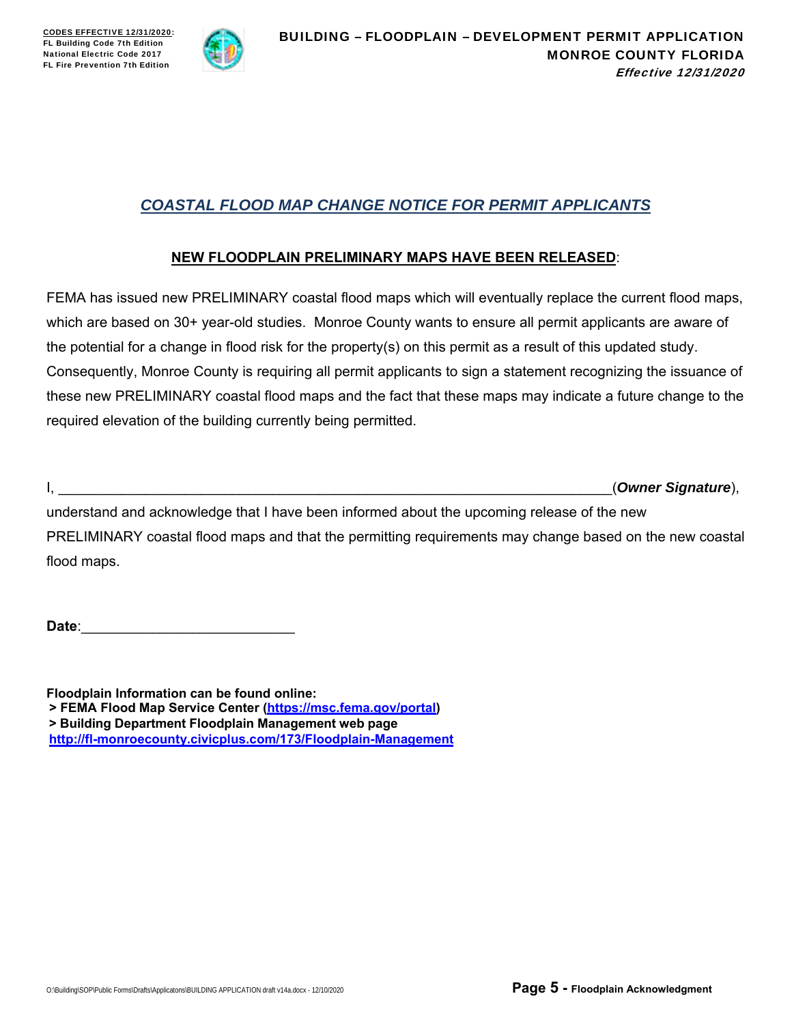

# *COASTAL FLOOD MAP CHANGE NOTICE FOR PERMIT APPLICANTS*

## **NEW FLOODPLAIN PRELIMINARY MAPS HAVE BEEN RELEASED**:

FEMA has issued new PRELIMINARY coastal flood maps which will eventually replace the current flood maps, which are based on 30+ year-old studies. Monroe County wants to ensure all permit applicants are aware of the potential for a change in flood risk for the property(s) on this permit as a result of this updated study. Consequently, Monroe County is requiring all permit applicants to sign a statement recognizing the issuance of these new PRELIMINARY coastal flood maps and the fact that these maps may indicate a future change to the required elevation of the building currently being permitted.

I, \_\_\_\_\_\_\_\_\_\_\_\_\_\_\_\_\_\_\_\_\_\_\_\_\_\_\_\_\_\_\_\_\_\_\_\_\_\_\_\_\_\_\_\_\_\_\_\_\_\_\_\_\_\_\_\_\_\_\_\_\_\_\_\_\_\_\_\_\_\_(*Owner Signature*),

understand and acknowledge that I have been informed about the upcoming release of the new PRELIMINARY coastal flood maps and that the permitting requirements may change based on the new coastal flood maps.

Date:

**Floodplain Information can be found online: > FEMA Flood Map Service Center (https://msc.fema.gov/portal) > Building Department Floodplain Management web page http://fl-monroecounty.civicplus.com/173/Floodplain-Management**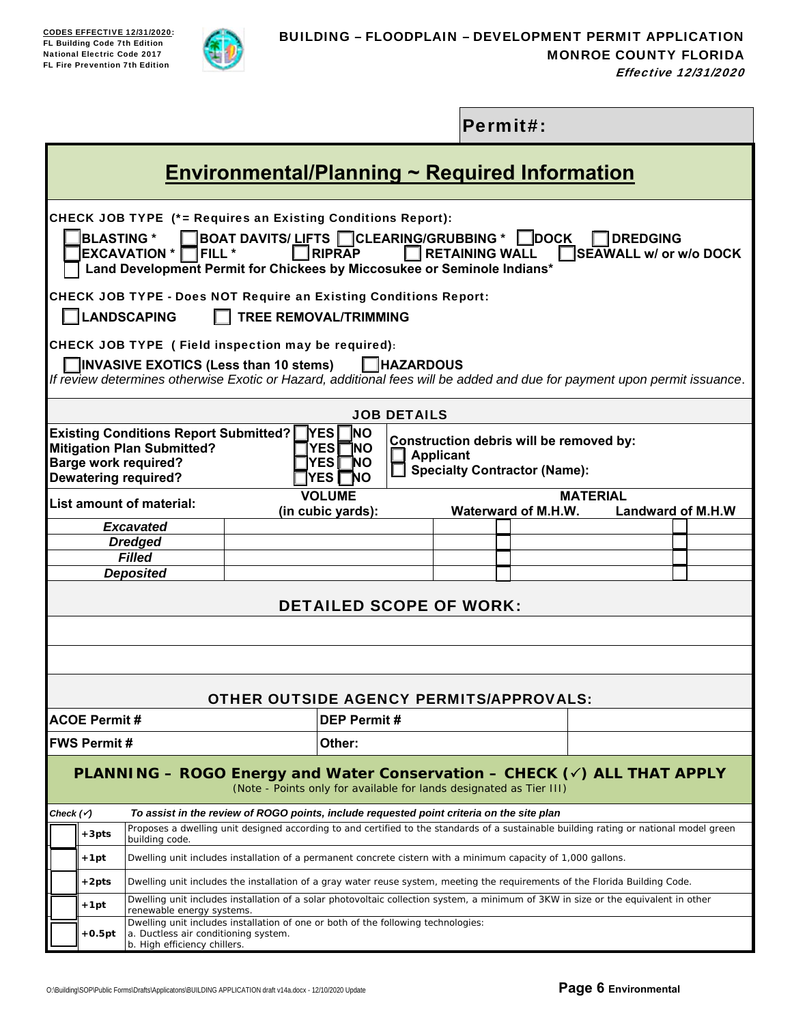

|                      |                                |                                                                                                                                                                                                                                |  |                                                                                                                   |                    |                       | Permit#:                                                                       |                                           |                          |
|----------------------|--------------------------------|--------------------------------------------------------------------------------------------------------------------------------------------------------------------------------------------------------------------------------|--|-------------------------------------------------------------------------------------------------------------------|--------------------|-----------------------|--------------------------------------------------------------------------------|-------------------------------------------|--------------------------|
|                      |                                |                                                                                                                                                                                                                                |  | <u>Environmental/Planning ~ Required Information</u>                                                              |                    |                       |                                                                                |                                           |                          |
|                      | <b>BLASTING *</b>              | CHECK JOB TYPE (*= Requires an Existing Conditions Report):<br><b>EXCAVATION *</b><br>TFILL *<br>Land Development Permit for Chickees by Miccosukee or Seminole Indians*                                                       |  | <b>BOAT DAVITS/ LIFTS CLEARING/GRUBBING *</b><br>$\n  RIPRAP\n$                                                   |                    | <b>RETAINING WALL</b> | $\blacksquare$ DOCK                                                            | <b>DREDGING</b><br>SEAWALL w/ or w/o DOCK |                          |
|                      |                                | <b>CHECK JOB TYPE - Does NOT Require an Existing Conditions Report:</b><br><b>LANDSCAPING</b>                                                                                                                                  |  | <b>TREE REMOVAL/TRIMMING</b>                                                                                      |                    |                       |                                                                                |                                           |                          |
|                      |                                | CHECK JOB TYPE (Field inspection may be required):<br>$\Box$ INVASIVE EXOTICS (Less than 10 stems)<br>If review determines otherwise Exotic or Hazard, additional fees will be added and due for payment upon permit issuance. |  |                                                                                                                   | $\Box$ HAZARDOUS   |                       |                                                                                |                                           |                          |
|                      |                                |                                                                                                                                                                                                                                |  |                                                                                                                   | <b>JOB DETAILS</b> |                       |                                                                                |                                           |                          |
|                      |                                | <b>Existing Conditions Report Submitted?</b><br><b>Mitigation Plan Submitted?</b><br><b>Barge work required?</b><br><b>Dewatering required?</b>                                                                                |  | <b>INO</b><br>$\mathsf{\lceil}$ YES $\mathsf{\rceil}$<br><b>YES</b><br>1NO<br>YES  <br>ΊNΟ.<br><b>YES</b><br>ΊNΟ. |                    | <b>Applicant</b>      | Construction debris will be removed by:<br><b>Specialty Contractor (Name):</b> |                                           |                          |
|                      |                                | List amount of material:                                                                                                                                                                                                       |  | <b>VOLUME</b><br>(in cubic yards):                                                                                |                    |                       | Waterward of M.H.W.                                                            | <b>MATERIAL</b>                           | <b>Landward of M.H.W</b> |
|                      |                                | <b>Excavated</b>                                                                                                                                                                                                               |  |                                                                                                                   |                    |                       |                                                                                |                                           |                          |
|                      |                                | <b>Dredged</b><br><b>Filled</b>                                                                                                                                                                                                |  |                                                                                                                   |                    |                       |                                                                                |                                           |                          |
|                      |                                | <b>Deposited</b>                                                                                                                                                                                                               |  |                                                                                                                   |                    |                       |                                                                                |                                           |                          |
|                      | <b>DETAILED SCOPE OF WORK:</b> |                                                                                                                                                                                                                                |  |                                                                                                                   |                    |                       |                                                                                |                                           |                          |
|                      |                                |                                                                                                                                                                                                                                |  |                                                                                                                   |                    |                       |                                                                                |                                           |                          |
|                      |                                |                                                                                                                                                                                                                                |  | <b>OTHER OUTSIDE AGENCY PERMITS/APPROVALS:</b>                                                                    |                    |                       |                                                                                |                                           |                          |
|                      | <b>ACOE Permit #</b>           |                                                                                                                                                                                                                                |  | <b>DEP Permit#</b>                                                                                                |                    |                       |                                                                                |                                           |                          |
|                      | <b>FWS Permit#</b>             |                                                                                                                                                                                                                                |  | Other:                                                                                                            |                    |                       |                                                                                |                                           |                          |
|                      |                                | <b>PLANNING – ROGO Energy and Water Conservation – CHECK (<math>\check{\phantom{1}}</math>) ALL THAT APPLY</b>                                                                                                                 |  | (Note - Points only for available for lands designated as Tier III)                                               |                    |                       |                                                                                |                                           |                          |
| Check $(\checkmark)$ |                                | To assist in the review of ROGO points, include requested point criteria on the site plan                                                                                                                                      |  |                                                                                                                   |                    |                       |                                                                                |                                           |                          |
|                      | $+3pts$                        | Proposes a dwelling unit designed according to and certified to the standards of a sustainable building rating or national model green<br>building code.                                                                       |  |                                                                                                                   |                    |                       |                                                                                |                                           |                          |
|                      | +1pt                           | Dwelling unit includes installation of a permanent concrete cistern with a minimum capacity of 1,000 gallons.                                                                                                                  |  |                                                                                                                   |                    |                       |                                                                                |                                           |                          |
|                      | $+2pts$                        | Dwelling unit includes the installation of a gray water reuse system, meeting the requirements of the Florida Building Code.                                                                                                   |  |                                                                                                                   |                    |                       |                                                                                |                                           |                          |
|                      | +1pt                           | Dwelling unit includes installation of a solar photovoltaic collection system, a minimum of 3KW in size or the equivalent in other<br>renewable energy systems.                                                                |  |                                                                                                                   |                    |                       |                                                                                |                                           |                          |
|                      | $+0.5pt$                       | Dwelling unit includes installation of one or both of the following technologies:<br>a. Ductless air conditioning system.<br>b. High efficiency chillers.                                                                      |  |                                                                                                                   |                    |                       |                                                                                |                                           |                          |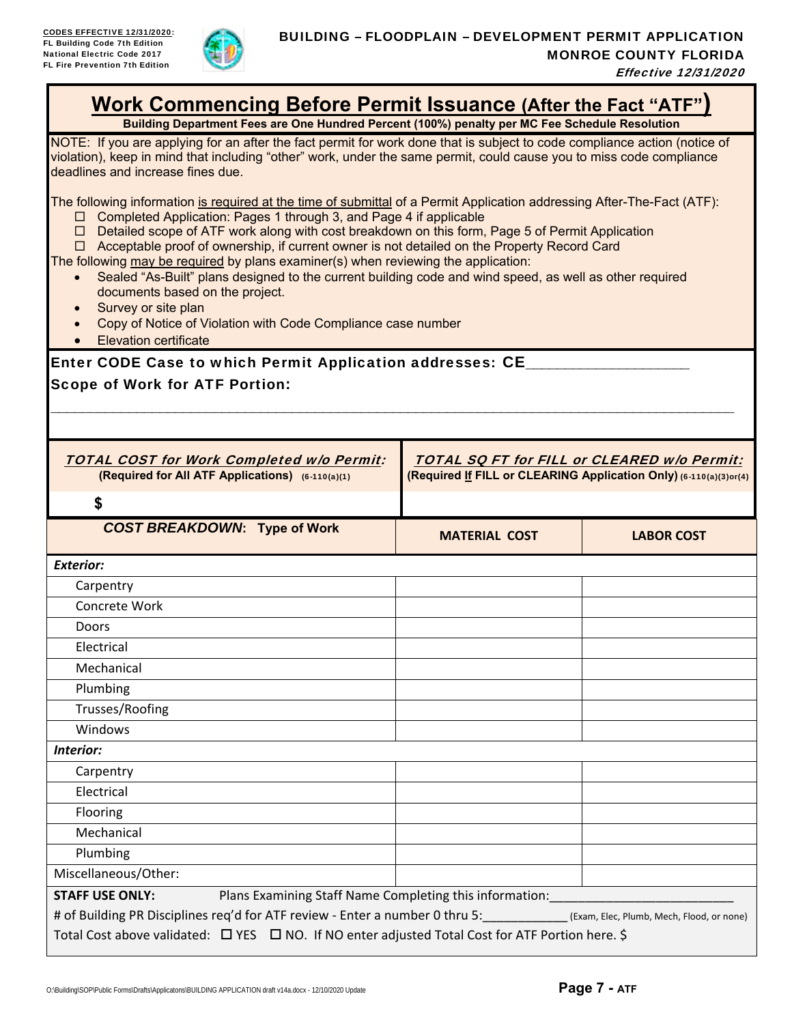

| <b>Work Commencing Before Permit Issuance (After the Fact "ATF")</b><br>Building Department Fees are One Hundred Percent (100%) penalty per MC Fee Schedule Resolution                                                                                                                                                                                                                                                                                                                                                                                                                                                                                                                                                                                                             |                                                                                                                         |                   |  |  |  |
|------------------------------------------------------------------------------------------------------------------------------------------------------------------------------------------------------------------------------------------------------------------------------------------------------------------------------------------------------------------------------------------------------------------------------------------------------------------------------------------------------------------------------------------------------------------------------------------------------------------------------------------------------------------------------------------------------------------------------------------------------------------------------------|-------------------------------------------------------------------------------------------------------------------------|-------------------|--|--|--|
| NOTE: If you are applying for an after the fact permit for work done that is subject to code compliance action (notice of<br>violation), keep in mind that including "other" work, under the same permit, could cause you to miss code compliance<br>deadlines and increase fines due.                                                                                                                                                                                                                                                                                                                                                                                                                                                                                             |                                                                                                                         |                   |  |  |  |
| The following information is required at the time of submittal of a Permit Application addressing After-The-Fact (ATF):<br>□ Completed Application: Pages 1 through 3, and Page 4 if applicable<br>□ Detailed scope of ATF work along with cost breakdown on this form, Page 5 of Permit Application<br>$\Box$ Acceptable proof of ownership, if current owner is not detailed on the Property Record Card<br>The following may be required by plans examiner(s) when reviewing the application:<br>Sealed "As-Built" plans designed to the current building code and wind speed, as well as other required<br>$\bullet$<br>documents based on the project.<br>Survey or site plan<br>Copy of Notice of Violation with Code Compliance case number<br><b>Elevation certificate</b> |                                                                                                                         |                   |  |  |  |
| Enter CODE Case to which Permit Application addresses: CE___                                                                                                                                                                                                                                                                                                                                                                                                                                                                                                                                                                                                                                                                                                                       |                                                                                                                         |                   |  |  |  |
| <b>Scope of Work for ATF Portion:</b>                                                                                                                                                                                                                                                                                                                                                                                                                                                                                                                                                                                                                                                                                                                                              |                                                                                                                         |                   |  |  |  |
|                                                                                                                                                                                                                                                                                                                                                                                                                                                                                                                                                                                                                                                                                                                                                                                    |                                                                                                                         |                   |  |  |  |
|                                                                                                                                                                                                                                                                                                                                                                                                                                                                                                                                                                                                                                                                                                                                                                                    |                                                                                                                         |                   |  |  |  |
| <b>TOTAL COST for Work Completed w/o Permit:</b>                                                                                                                                                                                                                                                                                                                                                                                                                                                                                                                                                                                                                                                                                                                                   |                                                                                                                         |                   |  |  |  |
| (Required for All ATF Applications) (6-110(a)(1)                                                                                                                                                                                                                                                                                                                                                                                                                                                                                                                                                                                                                                                                                                                                   | <b>TOTAL SO FT for FILL or CLEARED w/o Permit:</b><br>(Required If FILL or CLEARING Application Only) (6-110(a)(3)or(4) |                   |  |  |  |
| \$                                                                                                                                                                                                                                                                                                                                                                                                                                                                                                                                                                                                                                                                                                                                                                                 |                                                                                                                         |                   |  |  |  |
| <b>COST BREAKDOWN: Type of Work</b>                                                                                                                                                                                                                                                                                                                                                                                                                                                                                                                                                                                                                                                                                                                                                |                                                                                                                         |                   |  |  |  |
|                                                                                                                                                                                                                                                                                                                                                                                                                                                                                                                                                                                                                                                                                                                                                                                    | <b>MATERIAL COST</b>                                                                                                    | <b>LABOR COST</b> |  |  |  |
| <b>Exterior:</b>                                                                                                                                                                                                                                                                                                                                                                                                                                                                                                                                                                                                                                                                                                                                                                   |                                                                                                                         |                   |  |  |  |
| Carpentry                                                                                                                                                                                                                                                                                                                                                                                                                                                                                                                                                                                                                                                                                                                                                                          |                                                                                                                         |                   |  |  |  |
| Concrete Work                                                                                                                                                                                                                                                                                                                                                                                                                                                                                                                                                                                                                                                                                                                                                                      |                                                                                                                         |                   |  |  |  |
| Doors                                                                                                                                                                                                                                                                                                                                                                                                                                                                                                                                                                                                                                                                                                                                                                              |                                                                                                                         |                   |  |  |  |
| Electrical                                                                                                                                                                                                                                                                                                                                                                                                                                                                                                                                                                                                                                                                                                                                                                         |                                                                                                                         |                   |  |  |  |
| Mechanical                                                                                                                                                                                                                                                                                                                                                                                                                                                                                                                                                                                                                                                                                                                                                                         |                                                                                                                         |                   |  |  |  |
| Plumbing                                                                                                                                                                                                                                                                                                                                                                                                                                                                                                                                                                                                                                                                                                                                                                           |                                                                                                                         |                   |  |  |  |
| Trusses/Roofing                                                                                                                                                                                                                                                                                                                                                                                                                                                                                                                                                                                                                                                                                                                                                                    |                                                                                                                         |                   |  |  |  |
| Windows                                                                                                                                                                                                                                                                                                                                                                                                                                                                                                                                                                                                                                                                                                                                                                            |                                                                                                                         |                   |  |  |  |
| Interior:                                                                                                                                                                                                                                                                                                                                                                                                                                                                                                                                                                                                                                                                                                                                                                          |                                                                                                                         |                   |  |  |  |
| Carpentry                                                                                                                                                                                                                                                                                                                                                                                                                                                                                                                                                                                                                                                                                                                                                                          |                                                                                                                         |                   |  |  |  |
| Electrical                                                                                                                                                                                                                                                                                                                                                                                                                                                                                                                                                                                                                                                                                                                                                                         |                                                                                                                         |                   |  |  |  |
| Flooring                                                                                                                                                                                                                                                                                                                                                                                                                                                                                                                                                                                                                                                                                                                                                                           |                                                                                                                         |                   |  |  |  |
| Mechanical                                                                                                                                                                                                                                                                                                                                                                                                                                                                                                                                                                                                                                                                                                                                                                         |                                                                                                                         |                   |  |  |  |
| Plumbing                                                                                                                                                                                                                                                                                                                                                                                                                                                                                                                                                                                                                                                                                                                                                                           |                                                                                                                         |                   |  |  |  |
| Miscellaneous/Other:                                                                                                                                                                                                                                                                                                                                                                                                                                                                                                                                                                                                                                                                                                                                                               |                                                                                                                         |                   |  |  |  |
| <b>STAFF USE ONLY:</b><br>Plans Examining Staff Name Completing this information:                                                                                                                                                                                                                                                                                                                                                                                                                                                                                                                                                                                                                                                                                                  |                                                                                                                         |                   |  |  |  |
| # of Building PR Disciplines req'd for ATF review - Enter a number 0 thru 5: (Exam, Elec, Plumb, Mech, Flood, or none)                                                                                                                                                                                                                                                                                                                                                                                                                                                                                                                                                                                                                                                             |                                                                                                                         |                   |  |  |  |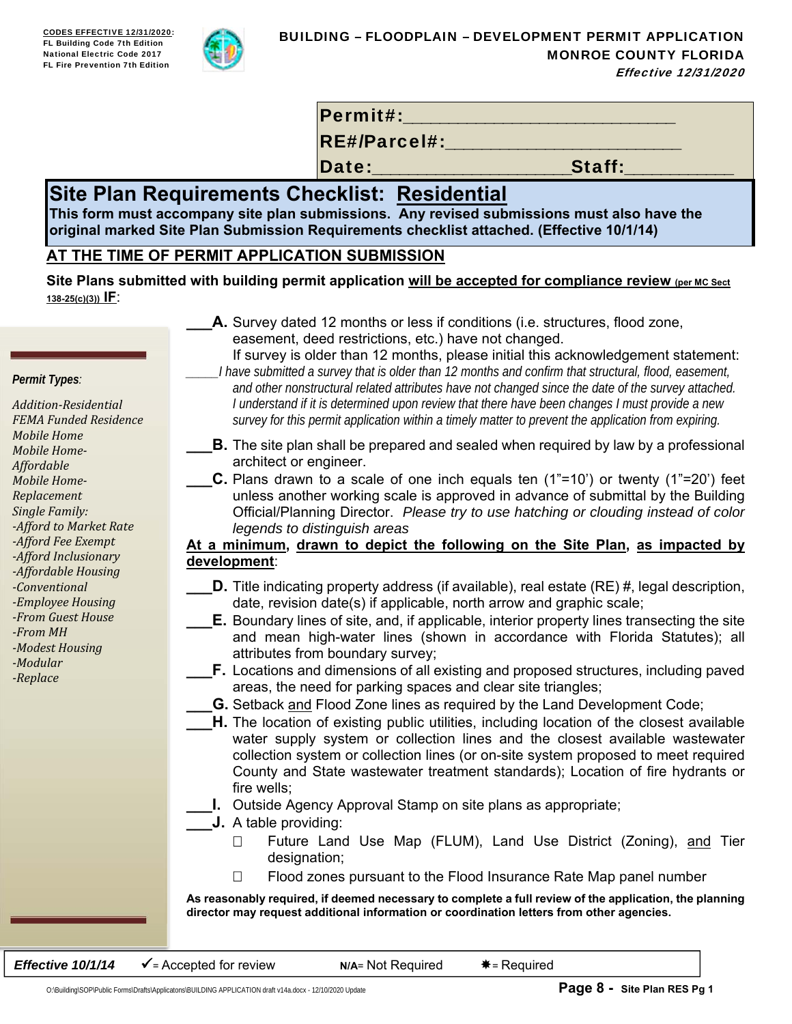

Permit#:

RE#/Parcel#:

Date:\_\_\_\_\_\_\_\_\_\_\_\_\_\_\_\_\_\_\_\_\_\_Staff:\_\_\_\_\_\_\_\_\_\_\_\_

# **Site Plan Requirements Checklist: Residential**

**This form must accompany site plan submissions. Any revised submissions must also have the original marked Site Plan Submission Requirements checklist attached. (Effective 10/1/14)**

# **AT THE TIME OF PERMIT APPLICATION SUBMISSION**

Site Plans submitted with building permit application will be accepted for compliance review (per MC Sect **138-25(c)(3)) IF**:

> **A.** Survey dated 12 months or less if conditions (i.e. structures, flood zone, easement, deed restrictions, etc.) have not changed.

*Permit Types:*

*Addition‐Residential FEMA Funded Residence Mobile Home Mobile Home‐ Affordable Mobile Home‐ Replacement Single Family: ‐Afford to Market Rate ‐Afford Fee Exempt ‐Afford Inclusionary ‐Affordable Housing ‐Conventional ‐Employee Housing ‐From Guest House ‐From MH ‐Modest Housing ‐Modular ‐Replace* 

- If survey is older than 12 months, please initial this acknowledgement statement:
- *\_\_\_\_\_I have submitted a survey that is older than 12 months and confirm that structural, flood, easement, and other nonstructural related attributes have not changed since the date of the survey attached. I understand if it is determined upon review that there have been changes I must provide a new survey for this permit application within a timely matter to prevent the application from expiring.*
- **B.** The site plan shall be prepared and sealed when required by law by a professional architect or engineer.
	- **C.** Plans drawn to a scale of one inch equals ten (1"=10') or twenty (1"=20') feet unless another working scale is approved in advance of submittal by the Building Official/Planning Director. *Please try to use hatching or clouding instead of color legends to distinguish areas*

## **At a minimum, drawn to depict the following on the Site Plan, as impacted by development**:

- **D.** Title indicating property address (if available), real estate (RE) #, legal description, date, revision date(s) if applicable, north arrow and graphic scale;
- **E.** Boundary lines of site, and, if applicable, interior property lines transecting the site and mean high-water lines (shown in accordance with Florida Statutes); all attributes from boundary survey;
	- **F.** Locations and dimensions of all existing and proposed structures, including paved areas, the need for parking spaces and clear site triangles;
- **G.** Setback and Flood Zone lines as required by the Land Development Code;
- **H.** The location of existing public utilities, including location of the closest available water supply system or collection lines and the closest available wastewater collection system or collection lines (or on-site system proposed to meet required County and State wastewater treatment standards); Location of fire hydrants or fire wells;
	- **I.** Outside Agency Approval Stamp on site plans as appropriate;
- **\_\_\_J.** A table providing:
	- □ Future Land Use Map (FLUM), Land Use District (Zoning), and Tier designation;
	- $\Box$  Flood zones pursuant to the Flood Insurance Rate Map panel number

**As reasonably required, if deemed necessary to complete a full review of the application, the planning director may request additional information or coordination letters from other agencies.** 

**Effective 10/1/14**  $\checkmark$  = Accepted for review **N/A**= Not Required  $*$  = Required